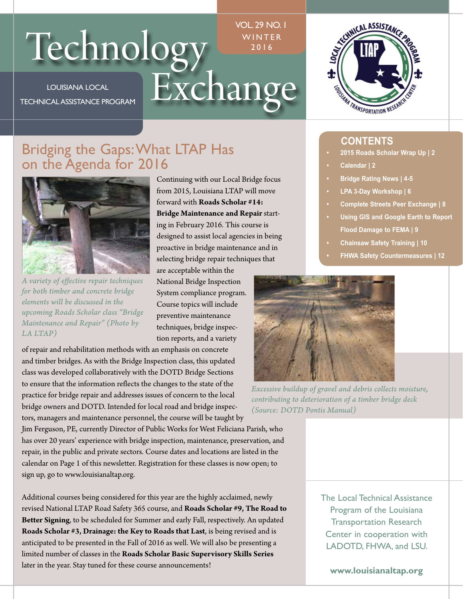# Technology WINTER

LOUISIANA LOCAL TECHNICAL ASSISTANCE PROGRAM

# VOL. 29 NO. 1 WINTER 2016



# Bridging the Gaps:What LTAP Has on the Agenda for 2016



*A variety of effective repair techniques for both timber and concrete bridge elements will be discussed in the upcoming Roads Scholar class "Bridge Maintenance and Repair" (Photo by LA LTAP)* 

Continuing with our Local Bridge focus from 2015, Louisiana LTAP will move forward with **Roads Scholar #14: Bridge Maintenance and Repair** starting in February 2016. This course is designed to assist local agencies in being proactive in bridge maintenance and in selecting bridge repair techniques that

are acceptable within the National Bridge Inspection System compliance program. Course topics will include preventive maintenance techniques, bridge inspection reports, and a variety

of repair and rehabilitation methods with an emphasis on concrete and timber bridges. As with the Bridge Inspection class, this updated class was developed collaboratively with the DOTD Bridge Sections to ensure that the information reflects the changes to the state of the practice for bridge repair and addresses issues of concern to the local bridge owners and DOTD. Intended for local road and bridge inspectors, managers and maintenance personnel, the course will be taught by

Jim Ferguson, PE, currently Director of Public Works for West Feliciana Parish, who has over 20 years' experience with bridge inspection, maintenance, preservation, and repair, in the public and private sectors. Course dates and locations are listed in the calendar on Page 1 of this newsletter. Registration for these classes is now open; to sign up, go to www.louisianaltap.org.

Additional courses being considered for this year are the highly acclaimed, newly revised National LTAP Road Safety 365 course, and **Roads Scholar #9, The Road to Better Signing**, to be scheduled for Summer and early Fall, respectively. An updated **Roads Scholar #3, Drainage: the Key to Roads that Last**, is being revised and is anticipated to be presented in the Fall of 2016 as well. We will also be presenting a limited number of classes in the **Roads Scholar Basic Supervisory Skills Series**  later in the year. Stay tuned for these course announcements!

- **CONTENTS 2015 Roads Scholar Wrap Up | 2**
- **Calendar | 2**
- **Bridge Rating News | 4-5**
- **LPA 3-Day Workshop | 6**
- **Complete Streets Peer Exchange | 8**
- **Using GIS and Google Earth to Report Flood Damage to FEMA | 9**
- **Chainsaw Safety Training | 10**
- **FHWA Safety Countermeasures | 12**



*Excessive buildup of gravel and debris collects moisture, contributing to deterioration of a timber bridge deck (Source: DOTD Pontis Manual)* 

The Local Technical Assistance Program of the Louisiana Transportation Research Center in cooperation with LADOTD, FHWA, and LSU.

**www.louisianaltap.org**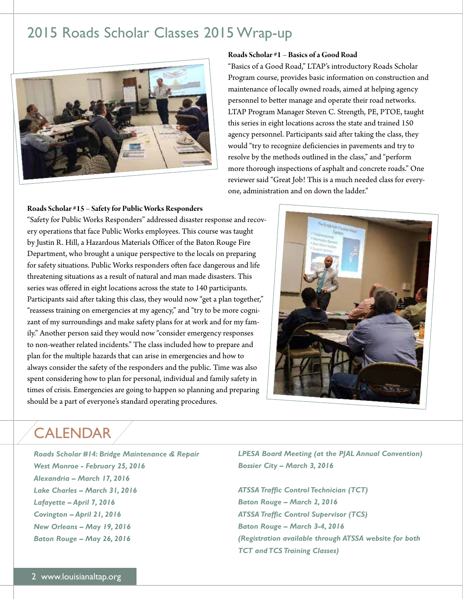# 2015 Roads Scholar Classes 2015 Wrap-up



# **Roads Scholar #1 – Basics of a Good Road**

"Basics of a Good Road," LTAP's introductory Roads Scholar Program course, provides basic information on construction and maintenance of locally owned roads, aimed at helping agency personnel to better manage and operate their road networks. LTAP Program Manager Steven C. Strength, PE, PTOE, taught this series in eight locations across the state and trained 150 agency personnel. Participants said after taking the class, they would "try to recognize deficiencies in pavements and try to resolve by the methods outlined in the class," and "perform more thorough inspections of asphalt and concrete roads." One reviewer said "Great Job! This is a much needed class for everyone, administration and on down the ladder."

# **Roads Scholar #15 – Safety for Public Works Responders**

"Safety for Public Works Responders" addressed disaster response and recovery operations that face Public Works employees. This course was taught by Justin R. Hill, a Hazardous Materials Officer of the Baton Rouge Fire Department, who brought a unique perspective to the locals on preparing for safety situations. Public Works responders often face dangerous and life threatening situations as a result of natural and man made disasters. This series was offered in eight locations across the state to 140 participants. Participants said after taking this class, they would now "get a plan together," "reassess training on emergencies at my agency," and "try to be more cognizant of my surroundings and make safety plans for at work and for my family." Another person said they would now "consider emergency responses to non-weather related incidents." The class included how to prepare and plan for the multiple hazards that can arise in emergencies and how to always consider the safety of the responders and the public. Time was also spent considering how to plan for personal, individual and family safety in times of crisis. Emergencies are going to happen so planning and preparing should be a part of everyone's standard operating procedures.



# CALENDAR

*Roads Scholar #14: Bridge Maintenance & Repair West Monroe - February 25, 2016 Alexandria – March 17, 2016 Lake Charles – March 31, 2016 Lafayette – April 7, 2016 Covington – April 21, 2016 New Orleans – May 19, 2016 Baton Rouge – May 26, 2016* 

*LPESA Board Meeting (at the PJAL Annual Convention) Bossier City – March 3, 2016* 

*ATSSA Traffic Control Technician (TCT) Baton Rouge – March 2, 2016 ATSSA Traffic Control Supervisor (TCS) Baton Rouge – March 3-4, 2016 (Registration available through ATSSA website for both TCT and TCS Training Classes)*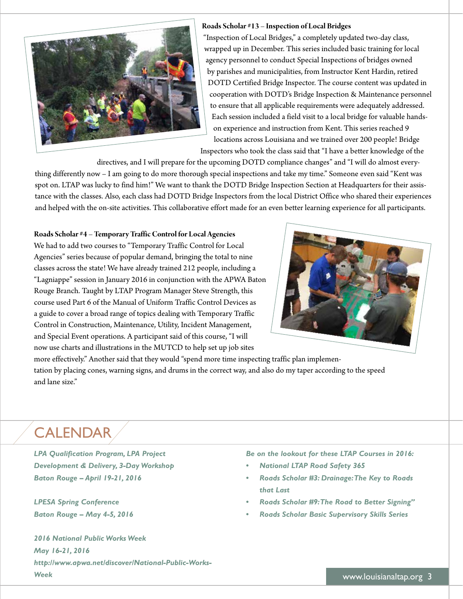

# **Roads Scholar #13 – Inspection of Local Bridges**

"Inspection of Local Bridges," a completely updated two-day class, wrapped up in December. This series included basic training for local agency personnel to conduct Special Inspections of bridges owned by parishes and municipalities, from Instructor Kent Hardin, retired DOTD Certified Bridge Inspector. The course content was updated in cooperation with DOTD's Bridge Inspection & Maintenance personnel to ensure that all applicable requirements were adequately addressed. Each session included a field visit to a local bridge for valuable handson experience and instruction from Kent. This series reached 9 locations across Louisiana and we trained over 200 people! Bridge Inspectors who took the class said that "I have a better knowledge of the

directives, and I will prepare for the upcoming DOTD compliance changes" and "I will do almost everything differently now – I am going to do more thorough special inspections and take my time." Someone even said "Kent was spot on. LTAP was lucky to find him!" We want to thank the DOTD Bridge Inspection Section at Headquarters for their assistance with the classes. Also, each class had DOTD Bridge Inspectors from the local District Office who shared their experiences and helped with the on-site activities. This collaborative effort made for an even better learning experience for all participants.

### **Roads Scholar #4 – Temporary Traffic Control for Local Agencies**

We had to add two courses to "Temporary Traffic Control for Local Agencies" series because of popular demand, bringing the total to nine classes across the state! We have already trained 212 people, including a "Lagniappe" session in January 2016 in conjunction with the APWA Baton Rouge Branch. Taught by LTAP Program Manager Steve Strength, this course used Part 6 of the Manual of Uniform Traffic Control Devices as a guide to cover a broad range of topics dealing with Temporary Traffic Control in Construction, Maintenance, Utility, Incident Management, and Special Event operations. A participant said of this course, "I will now use charts and illustrations in the MUTCD to help set up job sites



more effectively." Another said that they would "spend more time inspecting traffic plan implementation by placing cones, warning signs, and drums in the correct way, and also do my taper according to the speed and lane size."

# **CALENDAR**

*LPA Qualification Program, LPA Project Development & Delivery, 3-Day Workshop Baton Rouge – April 19-21, 2016* 

*LPESA Spring Conference Baton Rouge – May 4-5, 2016* 

*2016 National Public Works Week May 16-21, 2016 [http://www.apwa.net/discover/National-Public-Works-](http://www.apwa.net/discover/National-Public-Works)Week* 

*Be on the lookout for these LTAP Courses in 2016:* 

- *National LTAP Road Safety 365*
- *Roads Scholar #3: Drainage:The Key to Roads that Last*
- *Roads Scholar #9:The Road to Better Signing"*
- *Roads Scholar Basic Supervisory Skills Series*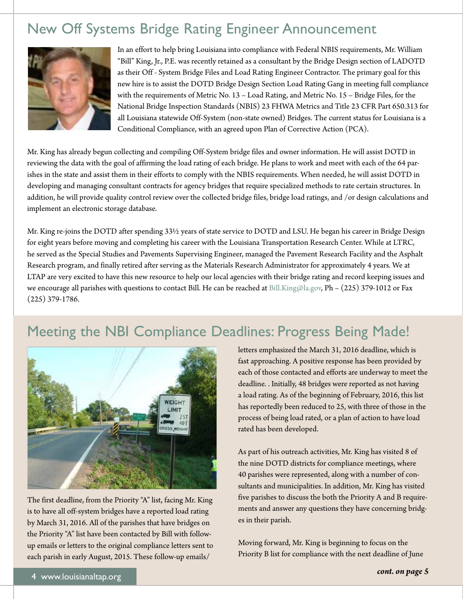# New Off Systems Bridge Rating Engineer Announcement



In an effort to help bring Louisiana into compliance with Federal NBIS requirements, Mr. William "Bill" King, Jr., P.E. was recently retained as a consultant by the Bridge Design section of LADOTD as their Off - System Bridge Files and Load Rating Engineer Contractor. The primary goal for this new hire is to assist the DOTD Bridge Design Section Load Rating Gang in meeting full compliance with the requirements of Metric No. 13 – Load Rating, and Metric No. 15 – Bridge Files, for the National Bridge Inspection Standards (NBIS) 23 FHWA Metrics and Title 23 CFR Part 650.313 for all Louisiana statewide Off-System (non-state owned) Bridges. The current status for Louisiana is a Conditional Compliance, with an agreed upon Plan of Corrective Action (PCA).

Mr. King has already begun collecting and compiling Off-System bridge files and owner information. He will assist DOTD in reviewing the data with the goal of affirming the load rating of each bridge. He plans to work and meet with each of the 64 parishes in the state and assist them in their efforts to comply with the NBIS requirements. When needed, he will assist DOTD in developing and managing consultant contracts for agency bridges that require specialized methods to rate certain structures. In addition, he will provide quality control review over the collected bridge files, bridge load ratings, and /or design calculations and implement an electronic storage database.

Mr. King re-joins the DOTD after spending 33½ years of state service to DOTD and LSU. He began his career in Bridge Design for eight years before moving and completing his career with the Louisiana Transportation Research Center. While at LTRC, he served as the Special Studies and Pavements Supervising Engineer, managed the Pavement Research Facility and the Asphalt Research program, and finally retired after serving as the Materials Research Administrator for approximately 4 years. We at LTAP are very excited to have this new resource to help our local agencies with their bridge rating and record keeping issues and we encourage all parishes with questions to contact Bill. He can be reached at [Bill.King@la.gov,](mailto:Bill.King@la.gov) Ph – (225) 379-1012 or Fax (225) 379-1786.

# Meeting the NBI Compliance Deadlines: Progress Being Made!



The first deadline, from the Priority "A" list, facing Mr. King is to have all off-system bridges have a reported load rating by March 31, 2016. All of the parishes that have bridges on the Priority "A" list have been contacted by Bill with followup emails or letters to the original compliance letters sent to each parish in early August, 2015. These follow-up emails/

letters emphasized the March 31, 2016 deadline, which is fast approaching. A positive response has been provided by each of those contacted and efforts are underway to meet the deadline. . Initially, 48 bridges were reported as not having a load rating. As of the beginning of February, 2016, this list has reportedly been reduced to 25, with three of those in the process of being load rated, or a plan of action to have load rated has been developed.

As part of his outreach activities, Mr. King has visited 8 of the nine DOTD districts for compliance meetings, where 40 parishes were represented, along with a number of consultants and municipalities. In addition, Mr. King has visited five parishes to discuss the both the Priority A and B requirements and answer any questions they have concerning bridges in their parish.

Moving forward, Mr. King is beginning to focus on the Priority B list for compliance with the next deadline of June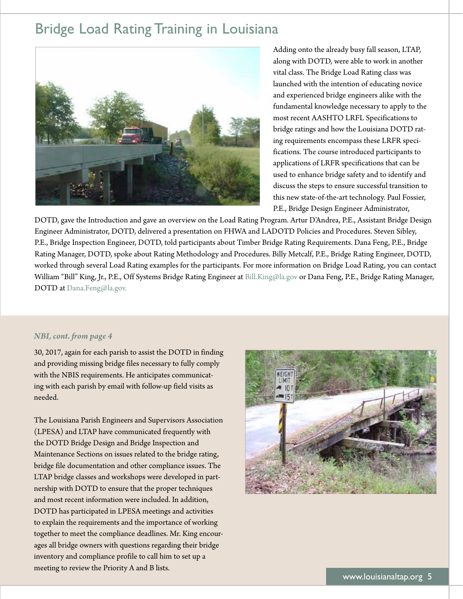# Bridge Load Rating Training in Louisiana



Adding onto the already busy fall season, LTAP, along with DOTD, were able to work in another vital class. The Bridge Load Rating class was launched with the intention of educating novice and experienced bridge engineers alike with the fundamental knowledge necessary to apply to the most recent AASHTO LRFL Specifications to bridge ratings and how the Louisiana DOTD rating requirements encompass these LRFR specifications. The course introduced participants to applications of LRFR specifications that can be used to enhance bridge safety and to identify and discuss the steps to ensure successful transition to this new state-of-the-art technology. Paul Fossier, P.E., Bridge Design Engineer Administrator,

DOTD, gave the Introduction and gave an overview on the Load Rating Program. Artur D'Andrea, P.E., Assistant Bridge Design Engineer Administrator, DOTD, delivered a presentation on FHWA and LADOTD Policies and Procedures. Steven Sibley, P.E., Bridge Inspection Engineer, DOTD, told participants about Timber Bridge Rating Requirements. Dana Feng, P.E., Bridge Rating Manager, DOTD, spoke about Rating Methodology and Procedures. Billy Metcalf, P.E., Bridge Rating Engineer, DOTD, worked through several Load Rating examples for the participants. For more information on Bridge Load Rating, you can contact William "Bill" King, Jr., P.E., Off Systems Bridge Rating Engineer at [Bill.King@la.gov](mailto:Bill.King@la.gov) or Dana Feng, P.E., Bridge Rating Manager, DOTD at [Dana.Feng@la.gov.](mailto:Dana.Feng@la.gov)

## *NBI, cont. fom page 4*

30, 2017, again for each parish to assist the DOTD in finding and providing missing bridge files necessary to fully comply with the NBIS requirements. He anticipates communicating with each parish by email with follow-up field visits as needed.

The Louisiana Parish Engineers and Supervisors Association (LPESA) and LTAP have communicated frequently with the DOTD Bridge Design and Bridge Inspection and Maintenance Sections on issues related to the bridge rating, bridge file documentation and other compliance issues. The LTAP bridge classes and workshops were developed in partnership with DOTD to ensure that the proper techniques and most recent information were included. In addition, DOTD has participated in LPESA meetings and activities to explain the requirements and the importance of working together to meet the compliance deadlines. Mr. King encourages all bridge owners with questions regarding their bridge inventory and compliance profile to call him to set up a meeting to review the Priority A and B lists.

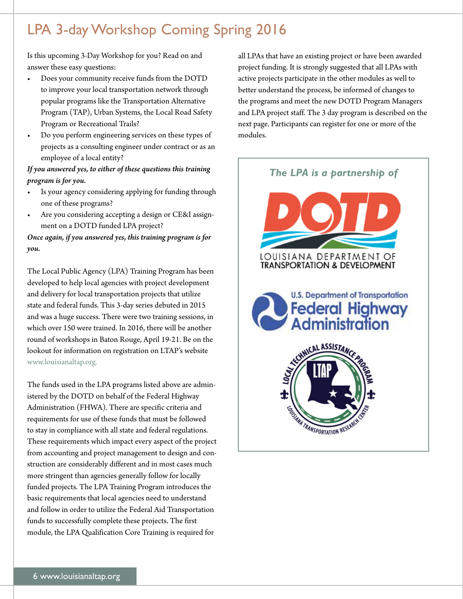# LPA 3-day Workshop Coming Spring 2016

Is this upcoming 3-Day Workshop for you? Read on and answer these easy questions:

- Does your community receive funds from the DOTD to improve your local transportation network through popular programs like the Transportation Alternative Program (TAP), Urban Systems, the Local Road Safety Program or Recreational Trails?
- Do you perform engineering services on these types of projects as a consulting engineer under contract or as an employee of a local entity?

# *If you answered yes, to either of these questions this training program is for you.*

- Is your agency considering applying for funding through one of these programs?
- Are you considering accepting a design or CE&I assignment on a DOTD funded LPA project?

*Once again, if you answered yes, this training program is for you.* 

The Local Public Agency (LPA) Training Program has been developed to help local agencies with project development and delivery for local transportation projects that utilize state and federal funds. This 3-day series debuted in 2015 and was a huge success. There were two training sessions, in which over 150 were trained. In 2016, there will be another round of workshops in Baton Rouge, April 19-21. Be on the lookout for information on registration on LTAP's website <www.louisianaltap.org>.

The funds used in the LPA programs listed above are administered by the DOTD on behalf of the Federal Highway Administration (FHWA). There are specific criteria and requirements for use of these funds that must be followed to stay in compliance with all state and federal regulations. These requirements which impact every aspect of the project from accounting and project management to design and construction are considerably different and in most cases much more stringent than agencies generally follow for locally funded projects. The LPA Training Program introduces the basic requirements that local agencies need to understand and follow in order to utilize the Federal Aid Transportation funds to successfully complete these projects. The first module, the LPA Qualification Core Training is required for

all LPAs that have an existing project or have been awarded project funding. It is strongly suggested that all LPAs with active projects participate in the other modules as well to better understand the process, be informed of changes to the programs and meet the new DOTD Program Managers and LPA project staff. The 3 day program is described on the next page. Participants can register for one or more of the modules.

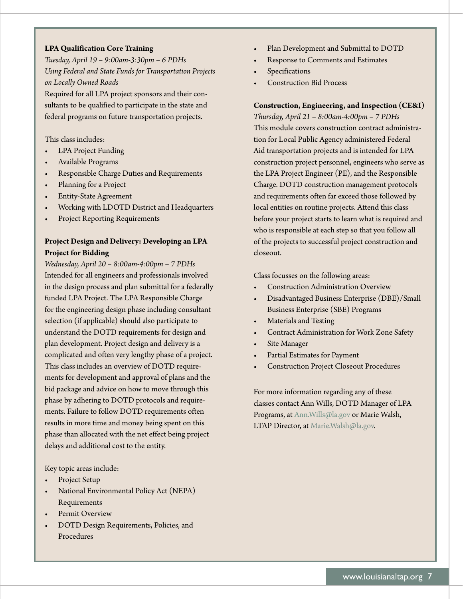# **LPA Qualification Core Training**

*Tuesday, April 19 – 9:00am-3:30pm – 6 PDHs Using Federal and State Funds for Transportation Projects on Locally Owned Roads*  Required for all LPA project sponsors and their con-

sultants to be qualified to participate in the state and federal programs on future transportation projects.

## This class includes:

- LPA Project Funding
- Available Programs
- Responsible Charge Duties and Requirements
- Planning for a Project
- Entity-State Agreement
- Working with LDOTD District and Headquarters
- Project Reporting Requirements

# **Project Design and Delivery: Developing an LPA Project for Bidding**

*Wednesday, April 20 – 8:00am-4:00pm – 7 PDHs*  Intended for all engineers and professionals involved in the design process and plan submittal for a federally funded LPA Project. The LPA Responsible Charge for the engineering design phase including consultant selection (if applicable) should also participate to understand the DOTD requirements for design and plan development. Project design and delivery is a complicated and often very lengthy phase of a project. This class includes an overview of DOTD requirements for development and approval of plans and the bid package and advice on how to move through this phase by adhering to DOTD protocols and requirements. Failure to follow DOTD requirements often results in more time and money being spent on this phase than allocated with the net effect being project delays and additional cost to the entity.

### Key topic areas include:

- Project Setup
- National Environmental Policy Act (NEPA) Requirements
- Permit Overview
- DOTD Design Requirements, Policies, and Procedures
- Plan Development and Submittal to DOTD
- Response to Comments and Estimates
- **Specifications**
- Construction Bid Process

# **Construction, Engineering, and Inspection (CE&I)**

*Thursday, April 21 – 8:00am-4:00pm – 7 PDHs*  This module covers construction contract administration for Local Public Agency administered Federal Aid transportation projects and is intended for LPA construction project personnel, engineers who serve as the LPA Project Engineer (PE), and the Responsible Charge. DOTD construction management protocols and requirements often far exceed those followed by local entities on routine projects. Attend this class before your project starts to learn what is required and who is responsible at each step so that you follow all of the projects to successful project construction and closeout.

Class focusses on the following areas:

- Construction Administration Overview
- Disadvantaged Business Enterprise (DBE)/Small Business Enterprise (SBE) Programs
- Materials and Testing
- Contract Administration for Work Zone Safety
- Site Manager
- Partial Estimates for Payment
- Construction Project Closeout Procedures

For more information regarding any of these classes contact Ann Wills, DOTD Manager of LPA Programs, at Ann. Wills@la.gov or Marie Walsh, LTAP Director, at [Marie.Walsh@la.gov.](mailto:Marie.Walsh@la.gov)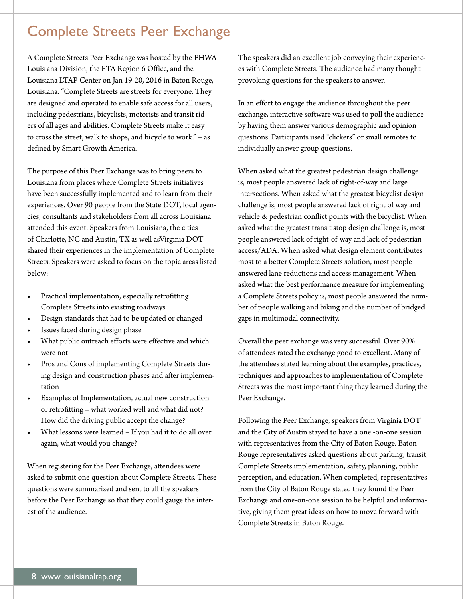# Complete Streets Peer Exchange

A Complete Streets Peer Exchange was hosted by the FHWA Louisiana Division, the FTA Region 6 Office, and the Louisiana LTAP Center on Jan 19-20, 2016 in Baton Rouge, Louisiana. "Complete Streets are streets for everyone. They are designed and operated to enable safe access for all users, including pedestrians, bicyclists, motorists and transit riders of all ages and abilities. Complete Streets make it easy to cross the street, walk to shops, and bicycle to work." – as defined by Smart Growth America.

The purpose of this Peer Exchange was to bring peers to Louisiana from places where Complete Streets initiatives have been successfully implemented and to learn from their experiences. Over 90 people from the State DOT, local agencies, consultants and stakeholders from all across Louisiana attended this event. Speakers from Louisiana, the cities of Charlotte, NC and Austin, TX as well asVirginia DOT shared their experiences in the implementation of Complete Streets. Speakers were asked to focus on the topic areas listed below:

- Practical implementation, especially retrofitting Complete Streets into existing roadways
- Design standards that had to be updated or changed
- Issues faced during design phase
- What public outreach efforts were effective and which were not
- Pros and Cons of implementing Complete Streets during design and construction phases and after implementation
- Examples of Implementation, actual new construction or retrofitting – what worked well and what did not? How did the driving public accept the change?
- What lessons were learned If you had it to do all over again, what would you change?

When registering for the Peer Exchange, attendees were asked to submit one question about Complete Streets. These questions were summarized and sent to all the speakers before the Peer Exchange so that they could gauge the interest of the audience.

The speakers did an excellent job conveying their experiences with Complete Streets. The audience had many thought provoking questions for the speakers to answer.

In an effort to engage the audience throughout the peer exchange, interactive software was used to poll the audience by having them answer various demographic and opinion questions. Participants used "clickers" or small remotes to individually answer group questions.

When asked what the greatest pedestrian design challenge is, most people answered lack of right-of-way and large intersections. When asked what the greatest bicyclist design challenge is, most people answered lack of right of way and vehicle & pedestrian conflict points with the bicyclist. When asked what the greatest transit stop design challenge is, most people answered lack of right-of-way and lack of pedestrian access/ADA. When asked what design element contributes most to a better Complete Streets solution, most people answered lane reductions and access management. When asked what the best performance measure for implementing a Complete Streets policy is, most people answered the number of people walking and biking and the number of bridged gaps in multimodal connectivity.

Overall the peer exchange was very successful. Over 90% of attendees rated the exchange good to excellent. Many of the attendees stated learning about the examples, practices, techniques and approaches to implementation of Complete Streets was the most important thing they learned during the Peer Exchange.

Following the Peer Exchange, speakers from Virginia DOT and the City of Austin stayed to have a one -on-one session with representatives from the City of Baton Rouge. Baton Rouge representatives asked questions about parking, transit, Complete Streets implementation, safety, planning, public perception, and education. When completed, representatives from the City of Baton Rouge stated they found the Peer Exchange and one-on-one session to be helpful and informative, giving them great ideas on how to move forward with Complete Streets in Baton Rouge.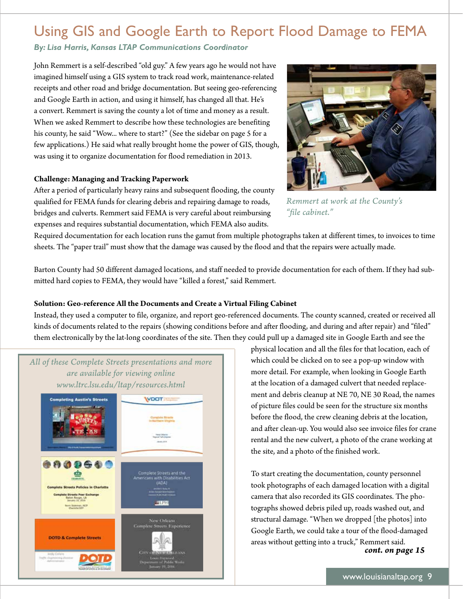# Using GIS and Google Earth to Report Flood Damage to FEMA

*By: Lisa Harris, Kansas LTAP Communications Coordinator* 

John Remmert is a self-described "old guy." A few years ago he would not have imagined himself using a GIS system to track road work, maintenance-related receipts and other road and bridge documentation. But seeing geo-referencing and Google Earth in action, and using it himself, has changed all that. He's a convert. Remmert is saving the county a lot of time and money as a result. When we asked Remmert to describe how these technologies are benefiting his county, he said "Wow... where to start?" (See the sidebar on page 5 for a few applications.) He said what really brought home the power of GIS, though, was using it to organize documentation for flood remediation in 2013.

# **Challenge: Managing and Tracking Paperwork**

After a period of particularly heavy rains and subsequent flooding, the county qualified for FEMA funds for clearing debris and repairing damage to roads, bridges and culverts. Remmert said FEMA is very careful about reimbursing expenses and requires substantial documentation, which FEMA also audits.



*Remmert at work at the County's "file cabinet."* 

Required documentation for each location runs the gamut from multiple photographs taken at different times, to invoices to time sheets. The "paper trail" must show that the damage was caused by the flood and that the repairs were actually made.

Barton County had 50 different damaged locations, and staff needed to provide documentation for each of them. If they had submitted hard copies to FEMA, they would have "killed a forest," said Remmert.

# **Solution: Geo-reference All the Documents and Create a Virtual Filing Cabinet**

Instead, they used a computer to file, organize, and report geo-referenced documents. The county scanned, created or received all kinds of documents related to the repairs (showing conditions before and after flooding, and during and after repair) and "filed" them electronically by the lat-long coordinates of the site. Then they could pull up a damaged site in Google Earth and see the



physical location and all the files for that location, each of which could be clicked on to see a pop-up window with more detail. For example, when looking in Google Earth at the location of a damaged culvert that needed replacement and debris cleanup at NE 70, NE 30 Road, the names of picture files could be seen for the structure six months before the flood, the crew cleaning debris at the location, and after clean-up. You would also see invoice files for crane rental and the new culvert, a photo of the crane working at the site, and a photo of the finished work.

To start creating the documentation, county personnel took photographs of each damaged location with a digital camera that also recorded its GIS coordinates. The photographs showed debris piled up, roads washed out, and structural damage. "When we dropped [the photos] into Google Earth, we could take a tour of the flood-damaged areas without getting into a truck," Remmert said. *cont. on page 15*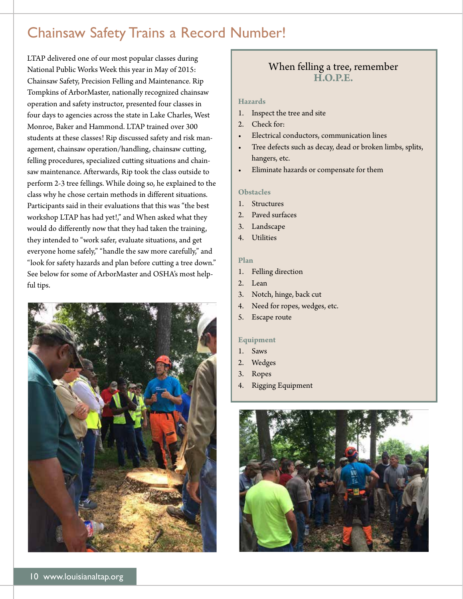# Chainsaw Safety Trains a Record Number!

LTAP delivered one of our most popular classes during National Public Works Week this year in May of 2015: Chainsaw Safety, Precision Felling and Maintenance. Rip Tompkins of ArborMaster, nationally recognized chainsaw operation and safety instructor, presented four classes in four days to agencies across the state in Lake Charles, West Monroe, Baker and Hammond. LTAP trained over 300 students at these classes! Rip discussed safety and risk management, chainsaw operation/handling, chainsaw cutting, felling procedures, specialized cutting situations and chainsaw maintenance. Afterwards, Rip took the class outside to perform 2-3 tree fellings. While doing so, he explained to the class why he chose certain methods in different situations. Participants said in their evaluations that this was "the best workshop LTAP has had yet!," and When asked what they would do differently now that they had taken the training, they intended to "work safer, evaluate situations, and get everyone home safely," "handle the saw more carefully," and "look for safety hazards and plan before cutting a tree down." See below for some of ArborMaster and OSHA's most helpful tips.



# When felling a tree, remember **H.O.P.E.**

### **Hazards**

- 1. Inspect the tree and site
- 2. Check for:
- Electrical conductors, communication lines
- Tree defects such as decay, dead or broken limbs, splits, hangers, etc.
- Eliminate hazards or compensate for them

### **Obstacles**

- 1. Structures
- 2. Paved surfaces
- 3. Landscape
- 4. Utilities

### **Plan**

- 1. Felling direction
- 2. Lean
- 3. Notch, hinge, back cut
- 4. Need for ropes, wedges, etc.
- 5. Escape route

### **Equipment**

- 1. Saws
- 2. Wedges
- 3. Ropes
- 4. Rigging Equipment

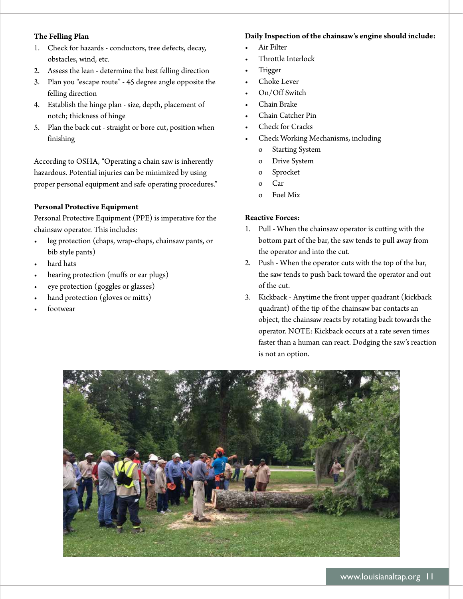# **The Felling Plan**

- 1. Check for hazards conductors, tree defects, decay, obstacles, wind, etc.
- 2. Assess the lean determine the best felling direction
- 3. Plan you "escape route" 45 degree angle opposite the felling direction
- 4. Establish the hinge plan size, depth, placement of notch; thickness of hinge
- 5. Plan the back cut straight or bore cut, position when finishing

According to OSHA, "Operating a chain saw is inherently hazardous. Potential injuries can be minimized by using proper personal equipment and safe operating procedures."

# **Personal Protective Equipment**

Personal Protective Equipment (PPE) is imperative for the chainsaw operator. This includes:

- leg protection (chaps, wrap-chaps, chainsaw pants, or bib style pants)
- hard hats
- hearing protection (muffs or ear plugs)
- eye protection (goggles or glasses)
- hand protection (gloves or mitts)
- **footwear**

# **Daily Inspection of the chainsaw's engine should include:**

- Air Filter
- Throttle Interlock
- **Trigger**
- Choke Lever
- On/Off Switch
- Chain Brake
- Chain Catcher Pin
- Check for Cracks
- Check Working Mechanisms, including
	- o Starting System
	- o Drive System
	- o Sprocket
	- o Car
	- o Fuel Mix

# **Reactive Forces:**

- 1. Pull When the chainsaw operator is cutting with the bottom part of the bar, the saw tends to pull away from the operator and into the cut.
- 2. Push When the operator cuts with the top of the bar, the saw tends to push back toward the operator and out of the cut.
- 3. Kickback Anytime the front upper quadrant (kickback quadrant) of the tip of the chainsaw bar contacts an object, the chainsaw reacts by rotating back towards the operator. NOTE: Kickback occurs at a rate seven times faster than a human can react. Dodging the saw's reaction is not an option.

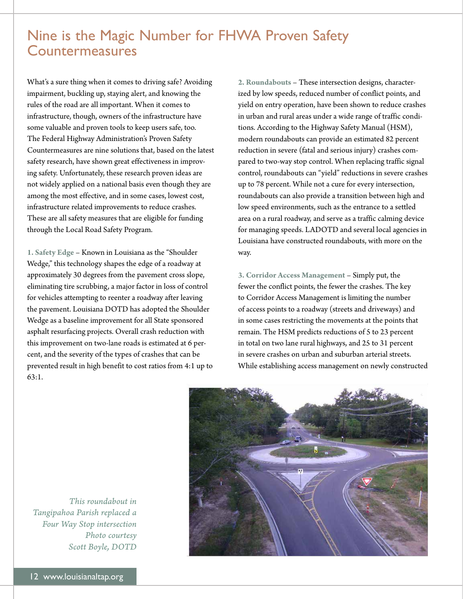# Nine is the Magic Number for FHWA Proven Safety Countermeasures

What's a sure thing when it comes to driving safe? Avoiding impairment, buckling up, staying alert, and knowing the rules of the road are all important. When it comes to infrastructure, though, owners of the infrastructure have some valuable and proven tools to keep users safe, too. The Federal Highway Administration's Proven Safety Countermeasures are nine solutions that, based on the latest safety research, have shown great effectiveness in improving safety. Unfortunately, these research proven ideas are not widely applied on a national basis even though they are among the most effective, and in some cases, lowest cost, infrastructure related improvements to reduce crashes. These are all safety measures that are eligible for funding through the Local Road Safety Program.

**1. Safety Edge** – Known in Louisiana as the "Shoulder Wedge," this technology shapes the edge of a roadway at approximately 30 degrees from the pavement cross slope, eliminating tire scrubbing, a major factor in loss of control for vehicles attempting to reenter a roadway after leaving the pavement. Louisiana DOTD has adopted the Shoulder Wedge as a baseline improvement for all State sponsored asphalt resurfacing projects. Overall crash reduction with this improvement on two-lane roads is estimated at 6 percent, and the severity of the types of crashes that can be prevented result in high benefit to cost ratios from 4:1 up to 63:1.

**2. Roundabouts** – These intersection designs, characterized by low speeds, reduced number of conflict points, and yield on entry operation, have been shown to reduce crashes in urban and rural areas under a wide range of traffic conditions. According to the Highway Safety Manual (HSM), modern roundabouts can provide an estimated 82 percent reduction in severe (fatal and serious injury) crashes compared to two-way stop control. When replacing traffic signal control, roundabouts can "yield" reductions in severe crashes up to 78 percent. While not a cure for every intersection, roundabouts can also provide a transition between high and low speed environments, such as the entrance to a settled area on a rural roadway, and serve as a traffic calming device for managing speeds. LADOTD and several local agencies in Louisiana have constructed roundabouts, with more on the way.

**3. Corridor Access Management** – Simply put, the fewer the conflict points, the fewer the crashes. The key to Corridor Access Management is limiting the number of access points to a roadway (streets and driveways) and in some cases restricting the movements at the points that remain. The HSM predicts reductions of 5 to 23 percent in total on two lane rural highways, and 25 to 31 percent in severe crashes on urban and suburban arterial streets. While establishing access management on newly constructed



*This roundabout in Tangipahoa Parish replaced a Four Way Stop intersection Photo courtesy Scott Boyle, DOTD*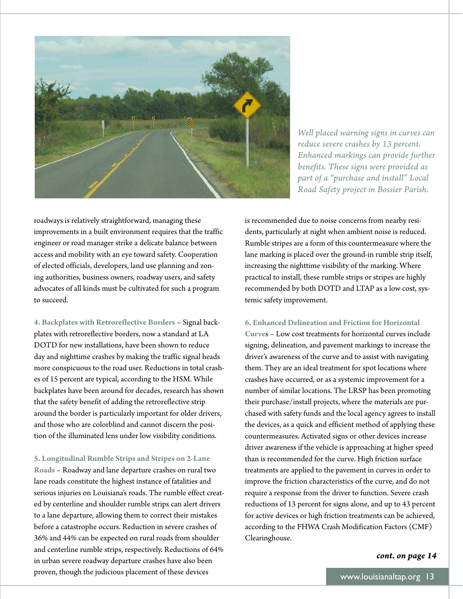

*Well placed warning signs in curves can reduce severe crashes by 13 percent. Enhanced markings can provide further benefits. These signs were provided as part of a "purchase and install" Local Road Safety project in Bossier Parish.* 

roadways is relatively straightforward, managing these improvements in a built environment requires that the traffic engineer or road manager strike a delicate balance between access and mobility with an eye toward safety. Cooperation of elected officials, developers, land use planning and zoning authorities, business owners, roadway users, and safety advocates of all kinds must be cultivated for such a program to succeed.

**4. Backplates with Retroreflective Borders** – Signal backplates with retroreflective borders, now a standard at LA DOTD for new installations, have been shown to reduce day and nighttime crashes by making the traffic signal heads more conspicuous to the road user. Reductions in total crashes of 15 percent are typical, according to the HSM. While backplates have been around for decades, research has shown that the safety benefit of adding the retroreflective strip around the border is particularly important for older drivers, and those who are colorblind and cannot discern the position of the illuminated lens under low visibility conditions.

**5. Longitudinal Rumble Strips and Stripes on 2-Lane Roads** – Roadway and lane departure crashes on rural two lane roads constitute the highest instance of fatalities and serious injuries on Louisiana's roads. The rumble effect created by centerline and shoulder rumble strips can alert drivers to a lane departure, allowing them to correct their mistakes before a catastrophe occurs. Reduction in severe crashes of 36% and 44% can be expected on rural roads from shoulder and centerline rumble strips, respectively. Reductions of 64% in urban severe roadway departure crashes have also been proven, though the judicious placement of these devices

is recommended due to noise concerns from nearby residents, particularly at night when ambient noise is reduced. Rumble stripes are a form of this countermeasure where the lane marking is placed over the ground-in rumble strip itself, increasing the nighttime visibility of the marking. Where practical to install, these rumble strips or stripes are highly recommended by both DOTD and LTAP as a low cost, systemic safety improvement.

### **6. Enhanced Delineation and Friction for Horizontal**

**Curve**s – Low cost treatments for horizontal curves include signing, delineation, and pavement markings to increase the driver's awareness of the curve and to assist with navigating them. They are an ideal treatment for spot locations where crashes have occurred, or as a systemic improvement for a number of similar locations. The LRSP has been promoting their purchase/install projects, where the materials are purchased with safety funds and the local agency agrees to install the devices, as a quick and efficient method of applying these countermeasures. Activated signs or other devices increase driver awareness if the vehicle is approaching at higher speed than is recommended for the curve. High friction surface treatments are applied to the pavement in curves in order to improve the friction characteristics of the curve, and do not require a response from the driver to function. Severe crash reductions of 13 percent for signs alone, and up to 43 percent for active devices or high friction treatments can be achieved, according to the FHWA Crash Modification Factors (CMF) Clearinghouse.

### *cont. on page 14*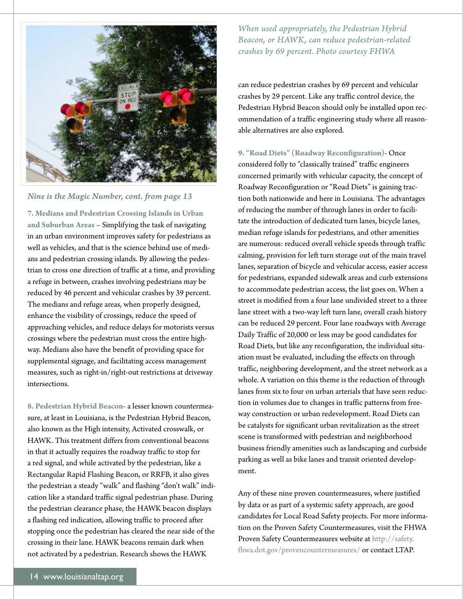

*Nine is the Magic Number, cont. fom page 13* 

**7. Medians and Pedestrian Crossing Islands in Urban and Suburban Areas** – Simplifying the task of navigating in an urban environment improves safety for pedestrians as well as vehicles, and that is the science behind use of medians and pedestrian crossing islands. By allowing the pedestrian to cross one direction of traffic at a time, and providing a refuge in between, crashes involving pedestrians may be reduced by 46 percent and vehicular crashes by 39 percent. The medians and refuge areas, when properly designed, enhance the visibility of crossings, reduce the speed of approaching vehicles, and reduce delays for motorists versus crossings where the pedestrian must cross the entire highway. Medians also have the benefit of providing space for supplemental signage, and facilitating access management measures, such as right-in/right-out restrictions at driveway intersections.

**8. Pedestrian Hybrid Beacon**- a lesser known countermeasure, at least in Louisiana, is the Pedestrian Hybrid Beacon, also known as the High intensity, Activated crosswalk, or HAWK. This treatment differs from conventional beacons in that it actually requires the roadway traffic to stop for a red signal, and while activated by the pedestrian, like a Rectangular Rapid Flashing Beacon, or RRFB, it also gives the pedestrian a steady "walk" and flashing "don't walk" indication like a standard traffic signal pedestrian phase. During the pedestrian clearance phase, the HAWK beacon displays a flashing red indication, allowing traffic to proceed after stopping once the pedestrian has cleared the near side of the crossing in their lane. HAWK beacons remain dark when not activated by a pedestrian. Research shows the HAWK

*When used appropriately, the Pedestrian Hybrid Beacon, or HAWK, can reduce pedestrian-related crashes by 69 percent. Photo courtesy FHWA* 

can reduce pedestrian crashes by 69 percent and vehicular crashes by 29 percent. Like any traffic control device, the Pedestrian Hybrid Beacon should only be installed upon recommendation of a traffic engineering study where all reasonable alternatives are also explored.

**9. "Road Diets" (Roadway Reconfiguration)**- Once considered folly to "classically trained" traffic engineers concerned primarily with vehicular capacity, the concept of Roadway Reconfiguration or "Road Diets" is gaining traction both nationwide and here in Louisiana. The advantages of reducing the number of through lanes in order to facilitate the introduction of dedicated turn lanes, bicycle lanes, median refuge islands for pedestrians, and other amenities are numerous: reduced overall vehicle speeds through traffic calming, provision for left turn storage out of the main travel lanes, separation of bicycle and vehicular access, easier access for pedestrians, expanded sidewalk areas and curb extensions to accommodate pedestrian access, the list goes on. When a street is modified from a four lane undivided street to a three lane street with a two-way left turn lane, overall crash history can be reduced 29 percent. Four lane roadways with Average Daily Traffic of 20,000 or less may be good candidates for Road Diets, but like any reconfiguration, the individual situation must be evaluated, including the effects on through traffic, neighboring development, and the street network as a whole. A variation on this theme is the reduction of through lanes from six to four on urban arterials that have seen reduction in volumes due to changes in traffic patterns from freeway construction or urban redevelopment. Road Diets can be catalysts for significant urban revitalization as the street scene is transformed with pedestrian and neighborhood business friendly amenities such as landscaping and curbside parking as well as bike lanes and transit oriented development.

Any of these nine proven countermeasures, where justified by data or as part of a systemic safety approach, are good candidates for Local Road Safety projects. For more information on the Proven Safety Countermeasures, visit the FHWA Proven Safety Countermeasures website at [http://safety.](http://safety) [fhwa.dot.gov/provencountermeasures](https://fhwa.dot.gov/provencountermeasures)/ or contact LTAP.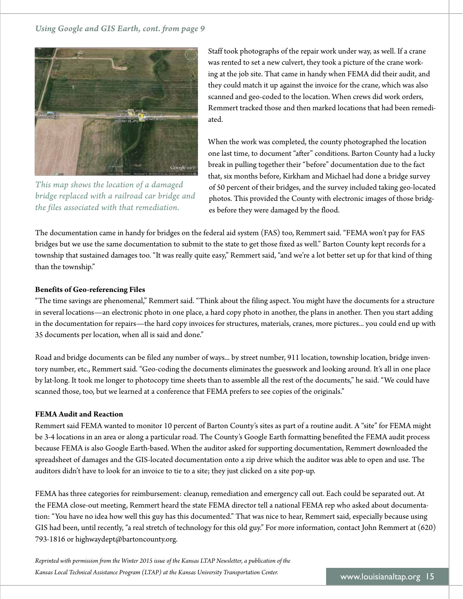*Using Google and GIS Earth, cont. fom page 9* 



*This map shows the location of a damaged bridge replaced with a railroad car bridge and the files associated with that remediation.* 

Staff took photographs of the repair work under way, as well. If a crane was rented to set a new culvert, they took a picture of the crane working at the job site. That came in handy when FEMA did their audit, and they could match it up against the invoice for the crane, which was also scanned and geo-coded to the location. When crews did work orders, Remmert tracked those and then marked locations that had been remediated.

When the work was completed, the county photographed the location one last time, to document "after" conditions. Barton County had a lucky break in pulling together their "before" documentation due to the fact that, six months before, Kirkham and Michael had done a bridge survey of 50 percent of their bridges, and the survey included taking geo-located photos. This provided the County with electronic images of those bridges before they were damaged by the flood.

The documentation came in handy for bridges on the federal aid system (FAS) too, Remmert said. "FEMA won't pay for FAS bridges but we use the same documentation to submit to the state to get those fixed as well." Barton County kept records for a township that sustained damages too. "It was really quite easy," Remmert said, "and we're a lot better set up for that kind of thing than the township."

# **Benefits of Geo-referencing Files**

"The time savings are phenomenal," Remmert said. "Think about the filing aspect. You might have the documents for a structure in several locations—an electronic photo in one place, a hard copy photo in another, the plans in another. Then you start adding in the documentation for repairs—the hard copy invoices for structures, materials, cranes, more pictures... you could end up with 35 documents per location, when all is said and done."

Road and bridge documents can be filed any number of ways... by street number, 911 location, township location, bridge inventory number, etc., Remmert said. "Geo-coding the documents eliminates the guesswork and looking around. It's all in one place by lat-long. It took me longer to photocopy time sheets than to assemble all the rest of the documents," he said. "We could have scanned those, too, but we learned at a conference that FEMA prefers to see copies of the originals."

### **FEMA Audit and Reaction**

Remmert said FEMA wanted to monitor 10 percent of Barton County's sites as part of a routine audit. A "site" for FEMA might be 3-4 locations in an area or along a particular road. The County's Google Earth formatting benefited the FEMA audit process because FEMA is also Google Earth-based. When the auditor asked for supporting documentation, Remmert downloaded the spreadsheet of damages and the GIS-located documentation onto a zip drive which the auditor was able to open and use. The auditors didn't have to look for an invoice to tie to a site; they just clicked on a site pop-up.

FEMA has three categories for reimbursement: cleanup, remediation and emergency call out. Each could be separated out. At the FEMA close-out meeting, Remmert heard the state FEMA director tell a national FEMA rep who asked about documentation: "You have no idea how well this guy has this documented." That was nice to hear, Remmert said, especially because using GIS had been, until recently, "a real stretch of technology for this old guy." For more information, contact John Remmert at (620) 793-1816 or [highwaydept@bartoncounty.org.](mailto:highwaydept@bartoncounty.org)

*Reprinted with permission from the Winter 2015 issue of the Kansas LTAP Newsletter, a publication of the Kansas Local Technical Assistance Program (LTAP) at the Kansas University Transportation Center.* www.louisianaltap.org 15